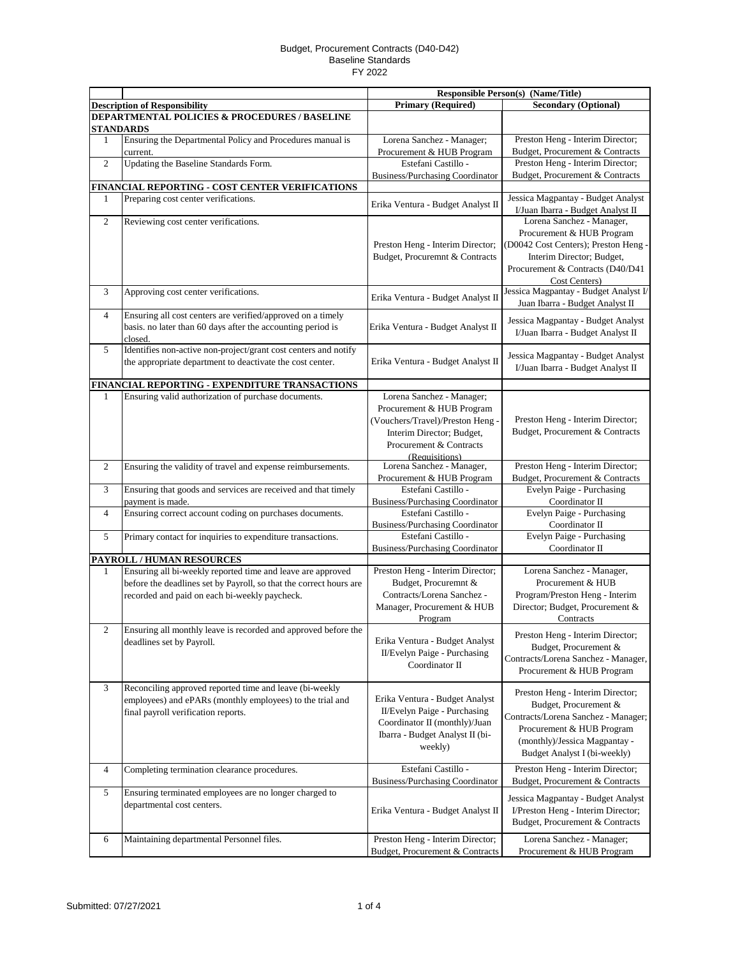|                         |                                                                            | <b>Responsible Person(s) (Name/Title)</b> |                                       |
|-------------------------|----------------------------------------------------------------------------|-------------------------------------------|---------------------------------------|
|                         | <b>Description of Responsibility</b>                                       | <b>Primary (Required)</b>                 | <b>Secondary (Optional)</b>           |
|                         | DEPARTMENTAL POLICIES & PROCEDURES / BASELINE                              |                                           |                                       |
|                         | <b>STANDARDS</b>                                                           |                                           |                                       |
| $\mathbf{1}$            | Ensuring the Departmental Policy and Procedures manual is                  | Lorena Sanchez - Manager;                 | Preston Heng - Interim Director;      |
|                         | current.                                                                   | Procurement & HUB Program                 | Budget, Procurement & Contracts       |
| $\overline{c}$          | Updating the Baseline Standards Form.                                      | Estefani Castillo -                       | Preston Heng - Interim Director;      |
|                         |                                                                            | <b>Business/Purchasing Coordinator</b>    | Budget, Procurement & Contracts       |
|                         | FINANCIAL REPORTING - COST CENTER VERIFICATIONS                            |                                           |                                       |
| 1                       | Preparing cost center verifications.                                       | Erika Ventura - Budget Analyst II         | Jessica Magpantay - Budget Analyst    |
|                         |                                                                            |                                           | I/Juan Ibarra - Budget Analyst II     |
| $\overline{c}$          | Reviewing cost center verifications.                                       |                                           | Lorena Sanchez - Manager,             |
|                         |                                                                            |                                           | Procurement & HUB Program             |
|                         |                                                                            | Preston Heng - Interim Director;          | (D0042 Cost Centers); Preston Heng -  |
|                         |                                                                            | Budget, Procuremnt & Contracts            | Interim Director; Budget,             |
|                         |                                                                            |                                           | Procurement & Contracts (D40/D41      |
|                         |                                                                            |                                           | Cost Centers)                         |
| 3                       | Approving cost center verifications.                                       | Erika Ventura - Budget Analyst II         | Jessica Magpantay - Budget Analyst I/ |
|                         |                                                                            |                                           | Juan Ibarra - Budget Analyst II       |
| $\overline{4}$          | Ensuring all cost centers are verified/approved on a timely                |                                           | Jessica Magpantay - Budget Analyst    |
|                         | basis. no later than 60 days after the accounting period is                | Erika Ventura - Budget Analyst II         | I/Juan Ibarra - Budget Analyst II     |
| 5                       | closed.<br>Identifies non-active non-project/grant cost centers and notify |                                           |                                       |
|                         | the appropriate department to deactivate the cost center.                  | Erika Ventura - Budget Analyst II         | Jessica Magpantay - Budget Analyst    |
|                         |                                                                            |                                           | I/Juan Ibarra - Budget Analyst II     |
|                         | FINANCIAL REPORTING - EXPENDITURE TRANSACTIONS                             |                                           |                                       |
| $\mathbf{1}$            | Ensuring valid authorization of purchase documents.                        | Lorena Sanchez - Manager;                 |                                       |
|                         |                                                                            | Procurement & HUB Program                 |                                       |
|                         |                                                                            | (Vouchers/Travel)/Preston Heng -          | Preston Heng - Interim Director;      |
|                         |                                                                            | Interim Director; Budget,                 | Budget, Procurement & Contracts       |
|                         |                                                                            | Procurement & Contracts                   |                                       |
|                         |                                                                            | (Requisitions)                            |                                       |
| $\overline{2}$          | Ensuring the validity of travel and expense reimbursements.                | Lorena Sanchez - Manager,                 | Preston Heng - Interim Director;      |
|                         |                                                                            | Procurement & HUB Program                 | Budget, Procurement & Contracts       |
| 3                       | Ensuring that goods and services are received and that timely              | Estefani Castillo -                       | Evelyn Paige - Purchasing             |
|                         | payment is made.                                                           | Business/Purchasing Coordinator           | Coordinator II                        |
| $\overline{4}$          | Ensuring correct account coding on purchases documents.                    | Estefani Castillo -                       | Evelyn Paige - Purchasing             |
|                         |                                                                            | <b>Business/Purchasing Coordinator</b>    | Coordinator II                        |
| 5                       | Primary contact for inquiries to expenditure transactions.                 | Estefani Castillo -                       | Evelyn Paige - Purchasing             |
|                         |                                                                            | Business/Purchasing Coordinator           | Coordinator II                        |
|                         | PAYROLL / HUMAN RESOURCES                                                  |                                           |                                       |
| 1                       | Ensuring all bi-weekly reported time and leave are approved                | Preston Heng - Interim Director;          | Lorena Sanchez - Manager,             |
|                         | before the deadlines set by Payroll, so that the correct hours are         | Budget, Procuremnt &                      | Procurement & HUB                     |
|                         | recorded and paid on each bi-weekly paycheck.                              | Contracts/Lorena Sanchez -                | Program/Preston Heng - Interim        |
|                         |                                                                            | Manager, Procurement & HUB                | Director; Budget, Procurement &       |
|                         |                                                                            | Program                                   | Contracts                             |
| $\mathfrak{2}$          | Ensuring all monthly leave is recorded and approved before the             |                                           | Preston Heng - Interim Director;      |
|                         | deadlines set by Payroll.                                                  | Erika Ventura - Budget Analyst            | Budget, Procurement &                 |
|                         |                                                                            | II/Evelyn Paige - Purchasing              | Contracts/Lorena Sanchez - Manager,   |
|                         |                                                                            | Coordinator II                            | Procurement & HUB Program             |
| 3                       | Reconciling approved reported time and leave (bi-weekly                    |                                           |                                       |
|                         | employees) and ePARs (monthly employees) to the trial and                  | Erika Ventura - Budget Analyst            | Preston Heng - Interim Director;      |
|                         | final payroll verification reports.                                        | II/Evelyn Paige - Purchasing              | Budget, Procurement &                 |
|                         |                                                                            | Coordinator II (monthly)/Juan             | Contracts/Lorena Sanchez - Manager;   |
|                         |                                                                            | Ibarra - Budget Analyst II (bi-           | Procurement & HUB Program             |
|                         |                                                                            | weekly)                                   | (monthly)/Jessica Magpantay -         |
|                         |                                                                            |                                           | Budget Analyst I (bi-weekly)          |
| $\overline{\mathbf{4}}$ | Completing termination clearance procedures.                               | Estefani Castillo -                       | Preston Heng - Interim Director;      |
|                         |                                                                            | <b>Business/Purchasing Coordinator</b>    | Budget, Procurement & Contracts       |
| 5                       | Ensuring terminated employees are no longer charged to                     |                                           |                                       |
|                         | departmental cost centers.                                                 |                                           | Jessica Magpantay - Budget Analyst    |
|                         |                                                                            | Erika Ventura - Budget Analyst II         | I/Preston Heng - Interim Director;    |
|                         |                                                                            |                                           | Budget, Procurement & Contracts       |
| 6                       | Maintaining departmental Personnel files.                                  | Preston Heng - Interim Director;          | Lorena Sanchez - Manager;             |
|                         |                                                                            | Budget, Procurement & Contracts           | Procurement & HUB Program             |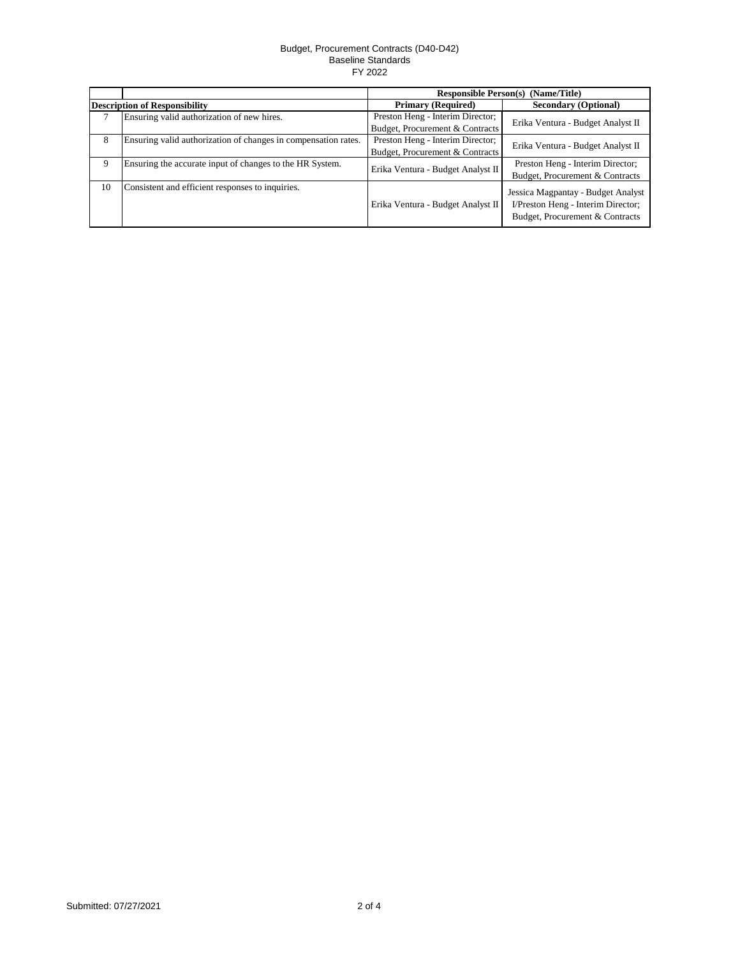|                                      |                                                                | <b>Responsible Person(s) (Name/Title)</b> |                                                                                                             |
|--------------------------------------|----------------------------------------------------------------|-------------------------------------------|-------------------------------------------------------------------------------------------------------------|
| <b>Description of Responsibility</b> |                                                                | <b>Primary (Required)</b>                 | <b>Secondary (Optional)</b>                                                                                 |
|                                      | Ensuring valid authorization of new hires.                     | Preston Heng - Interim Director;          | Erika Ventura - Budget Analyst II                                                                           |
|                                      |                                                                | Budget, Procurement & Contracts           |                                                                                                             |
| 8                                    | Ensuring valid authorization of changes in compensation rates. | Preston Heng - Interim Director;          | Erika Ventura - Budget Analyst II                                                                           |
|                                      |                                                                | Budget, Procurement & Contracts           |                                                                                                             |
| 9                                    | Ensuring the accurate input of changes to the HR System.       | Erika Ventura - Budget Analyst II         | Preston Heng - Interim Director;                                                                            |
|                                      |                                                                |                                           | Budget, Procurement & Contracts                                                                             |
| 10                                   | Consistent and efficient responses to inquiries.               | Erika Ventura - Budget Analyst II         | Jessica Magpantay - Budget Analyst<br>I/Preston Heng - Interim Director;<br>Budget, Procurement & Contracts |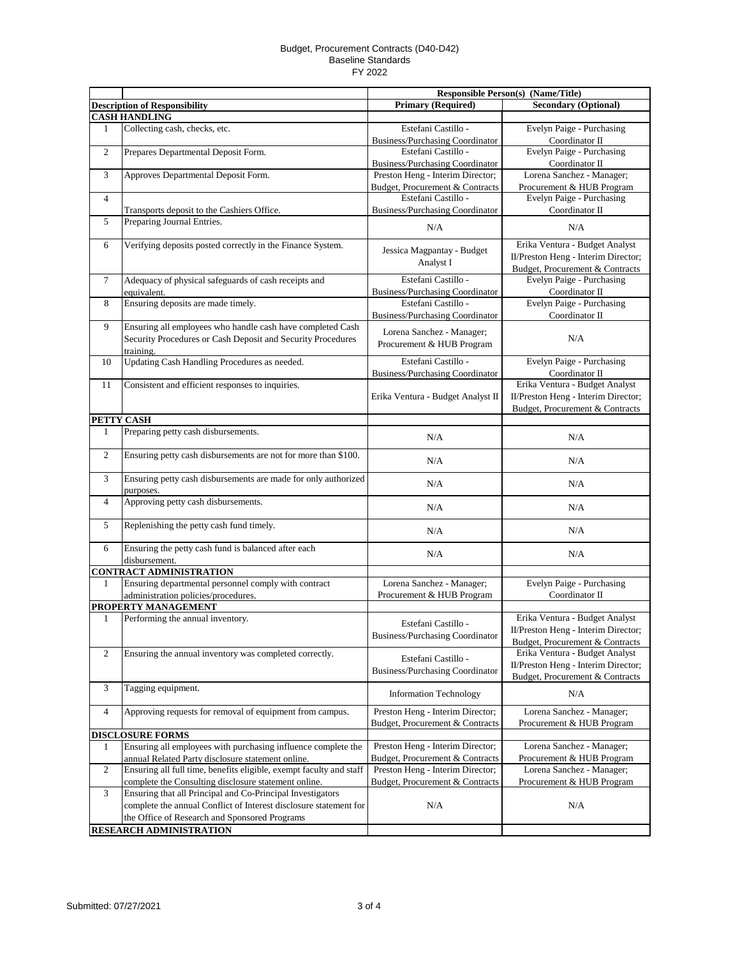|                 |                                                                             | <b>Responsible Person(s) (Name/Title)</b>              |                                     |
|-----------------|-----------------------------------------------------------------------------|--------------------------------------------------------|-------------------------------------|
|                 | <b>Description of Responsibility</b>                                        | <b>Primary (Required)</b>                              | <b>Secondary (Optional)</b>         |
|                 | <b>CASH HANDLING</b>                                                        |                                                        |                                     |
| 1               | Collecting cash, checks, etc.                                               | Estefani Castillo -                                    | Evelyn Paige - Purchasing           |
|                 |                                                                             | <b>Business/Purchasing Coordinator</b>                 | Coordinator II                      |
| $\overline{c}$  | Prepares Departmental Deposit Form.                                         | Estefani Castillo -                                    | Evelyn Paige - Purchasing           |
|                 |                                                                             | <b>Business/Purchasing Coordinator</b>                 | Coordinator II                      |
| 3               | Approves Departmental Deposit Form.                                         | Preston Heng - Interim Director;                       | Lorena Sanchez - Manager;           |
|                 |                                                                             | Budget, Procurement & Contracts                        | Procurement & HUB Program           |
| $\overline{4}$  |                                                                             | Estefani Castillo -                                    | Evelyn Paige - Purchasing           |
|                 | Transports deposit to the Cashiers Office.                                  | Business/Purchasing Coordinator                        | Coordinator II                      |
| 5               | Preparing Journal Entries.                                                  | N/A                                                    | N/A                                 |
| 6               | Verifying deposits posted correctly in the Finance System.                  |                                                        | Erika Ventura - Budget Analyst      |
|                 |                                                                             | Jessica Magpantay - Budget                             | II/Preston Heng - Interim Director; |
|                 |                                                                             | Analyst I                                              | Budget, Procurement & Contracts     |
| $7\phantom{.0}$ | Adequacy of physical safeguards of cash receipts and                        | Estefani Castillo -                                    | Evelyn Paige - Purchasing           |
|                 | equivalent.                                                                 | <b>Business/Purchasing Coordinator</b>                 | Coordinator II                      |
| 8               | Ensuring deposits are made timely.                                          | Estefani Castillo -                                    | Evelyn Paige - Purchasing           |
|                 |                                                                             | <b>Business/Purchasing Coordinator</b>                 | Coordinator II                      |
| 9               | Ensuring all employees who handle cash have completed Cash                  |                                                        |                                     |
|                 | Security Procedures or Cash Deposit and Security Procedures<br>training.    | Lorena Sanchez - Manager;<br>Procurement & HUB Program | N/A                                 |
| 10              | Updating Cash Handling Procedures as needed.                                | Estefani Castillo -                                    | Evelyn Paige - Purchasing           |
|                 |                                                                             | <b>Business/Purchasing Coordinator</b>                 | Coordinator II                      |
| 11              | Consistent and efficient responses to inquiries.                            |                                                        | Erika Ventura - Budget Analyst      |
|                 |                                                                             | Erika Ventura - Budget Analyst II                      | II/Preston Heng - Interim Director; |
|                 |                                                                             |                                                        | Budget, Procurement & Contracts     |
|                 | PETTY CASH                                                                  |                                                        |                                     |
| 1               | Preparing petty cash disbursements.                                         |                                                        |                                     |
|                 |                                                                             | N/A                                                    | N/A                                 |
| $\overline{c}$  | Ensuring petty cash disbursements are not for more than \$100.              | N/A                                                    | N/A                                 |
| 3               | Ensuring petty cash disbursements are made for only authorized<br>purposes. | N/A                                                    | N/A                                 |
| 4               | Approving petty cash disbursements.                                         | N/A                                                    | N/A                                 |
| 5               | Replenishing the petty cash fund timely.                                    | N/A                                                    | N/A                                 |
| 6               | Ensuring the petty cash fund is balanced after each                         |                                                        |                                     |
|                 | disbursement.                                                               | N/A                                                    | N/A                                 |
|                 | <b>CONTRACT ADMINISTRATION</b>                                              |                                                        |                                     |
| 1               | Ensuring departmental personnel comply with contract                        | Lorena Sanchez - Manager;                              | Evelyn Paige - Purchasing           |
|                 | administration policies/procedures.                                         | Procurement & HUB Program                              | Coordinator II                      |
|                 | PROPERTY MANAGEMENT                                                         |                                                        |                                     |
| 1               | Performing the annual inventory.                                            | Estefani Castillo -                                    | Erika Ventura - Budget Analyst      |
|                 |                                                                             | <b>Business/Purchasing Coordinator</b>                 | II/Preston Heng - Interim Director; |
|                 |                                                                             |                                                        | Budget, Procurement & Contracts     |
| $\overline{c}$  | Ensuring the annual inventory was completed correctly.                      | Estefani Castillo -                                    | Erika Ventura - Budget Analyst      |
|                 |                                                                             |                                                        | II/Preston Heng - Interim Director; |
|                 |                                                                             | <b>Business/Purchasing Coordinator</b>                 | Budget, Procurement & Contracts     |
| 3               | Tagging equipment.                                                          | <b>Information Technology</b>                          | N/A                                 |
| $\overline{4}$  | Approving requests for removal of equipment from campus.                    | Preston Heng - Interim Director;                       | Lorena Sanchez - Manager;           |
|                 |                                                                             | Budget, Procurement & Contracts                        | Procurement & HUB Program           |
|                 | <b>DISCLOSURE FORMS</b>                                                     |                                                        |                                     |
| 1               | Ensuring all employees with purchasing influence complete the               | Preston Heng - Interim Director;                       | Lorena Sanchez - Manager;           |
|                 | annual Related Party disclosure statement online.                           | Budget, Procurement & Contracts                        | Procurement & HUB Program           |
| $\overline{c}$  | Ensuring all full time, benefits eligible, exempt faculty and staff         | Preston Heng - Interim Director;                       | Lorena Sanchez - Manager;           |
|                 | complete the Consulting disclosure statement online.                        | Budget, Procurement & Contracts                        | Procurement & HUB Program           |
| 3               | Ensuring that all Principal and Co-Principal Investigators                  |                                                        |                                     |
|                 | complete the annual Conflict of Interest disclosure statement for           | N/A                                                    | N/A                                 |
|                 | the Office of Research and Sponsored Programs                               |                                                        |                                     |
|                 | RESEARCH ADMINISTRATION                                                     |                                                        |                                     |
|                 |                                                                             |                                                        |                                     |